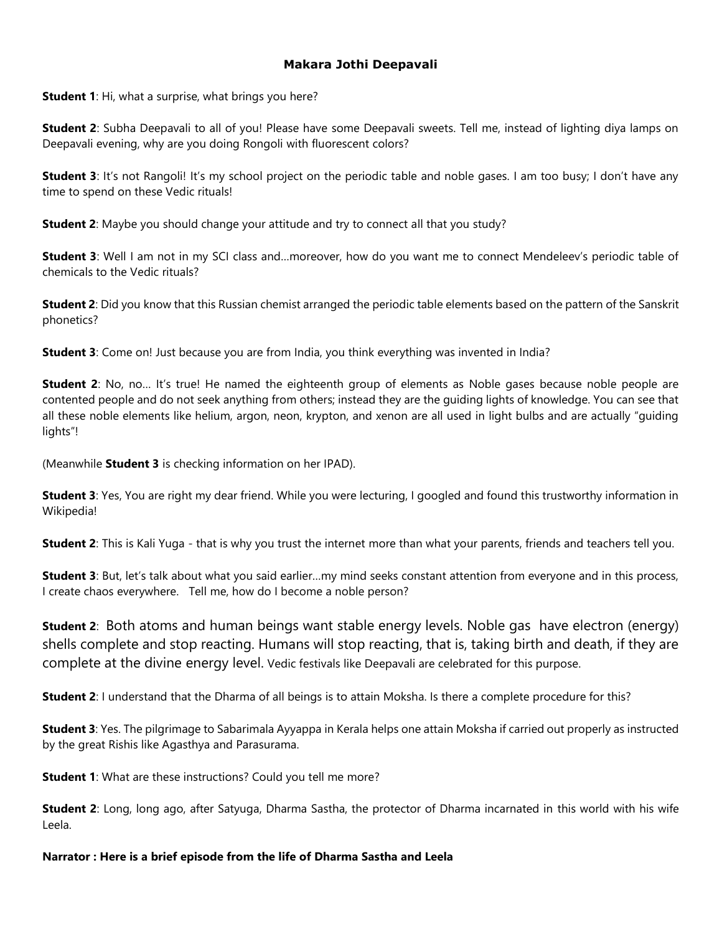## **Makara Jothi Deepavali**

**Student 1**: Hi, what a surprise, what brings you here?

**Student 2**: Subha Deepavali to all of you! Please have some Deepavali sweets. Tell me, instead of lighting diya lamps on Deepavali evening, why are you doing Rongoli with fluorescent colors?

**Student 3**: It's not Rangoli! It's my school project on the periodic table and noble gases. I am too busy; I don't have any time to spend on these Vedic rituals!

**Student 2**: Maybe you should change your attitude and try to connect all that you study?

**Student 3**: Well I am not in my SCI class and…moreover, how do you want me to connect Mendeleev's periodic table of chemicals to the Vedic rituals?

**Student 2**: Did you know that this Russian chemist arranged the periodic table elements based on the pattern of the Sanskrit phonetics?

**Student 3**: Come on! Just because you are from India, you think everything was invented in India?

**Student 2**: No, no... It's true! He named the eighteenth group of elements as Noble gases because noble people are contented people and do not seek anything from others; instead they are the guiding lights of knowledge. You can see that all these noble elements like helium, argon, neon, krypton, and xenon are all used in light bulbs and are actually "guiding lights"!

(Meanwhile **Student 3** is checking information on her IPAD).

**Student 3**: Yes, You are right my dear friend. While you were lecturing, I googled and found this trustworthy information in Wikipedia!

**Student 2**: This is Kali Yuga - that is why you trust the internet more than what your parents, friends and teachers tell you.

**Student 3**: But, let's talk about what you said earlier…my mind seeks constant attention from everyone and in this process, I create chaos everywhere. Tell me, how do I become a noble person?

**Student 2**: Both atoms and human beings want stable energy levels. Noble gas have electron (energy) shells complete and stop reacting. Humans will stop reacting, that is, taking birth and death, if they are complete at the divine energy level. Vedic festivals like Deepavali are celebrated for this purpose.

**Student 2**: I understand that the Dharma of all beings is to attain Moksha. Is there a complete procedure for this?

**Student 3**: Yes. The pilgrimage to Sabarimala Ayyappa in Kerala helps one attain Moksha if carried out properly as instructed by the great Rishis like Agasthya and Parasurama.

**Student 1**: What are these instructions? Could you tell me more?

**Student 2**: Long, long ago, after Satyuga, Dharma Sastha, the protector of Dharma incarnated in this world with his wife Leela.

**Narrator : Here is a brief episode from the life of Dharma Sastha and Leela**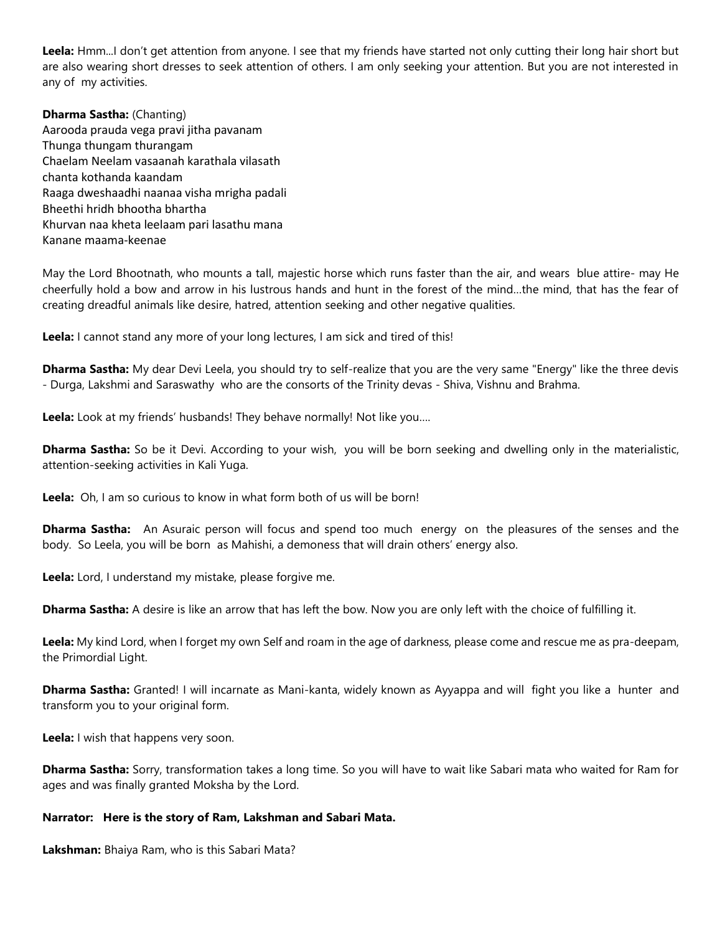**Leela:** Hmm...I don't get attention from anyone. I see that my friends have started not only cutting their long hair short but are also wearing short dresses to seek attention of others. I am only seeking your attention. But you are not interested in any of my activities.

**Dharma Sastha:** (Chanting) Aarooda prauda vega pravi jitha pavanam Thunga thungam thurangam Chaelam Neelam vasaanah karathala vilasath chanta kothanda kaandam Raaga dweshaadhi naanaa visha mrigha padali Bheethi hridh bhootha bhartha Khurvan naa kheta leelaam pari lasathu mana Kanane maama-keenae

May the Lord Bhootnath, who mounts a tall, majestic horse which runs faster than the air, and wears blue attire- may He cheerfully hold a bow and arrow in his lustrous hands and hunt in the forest of the mind…the mind, that has the fear of creating dreadful animals like desire, hatred, attention seeking and other negative qualities.

**Leela:** I cannot stand any more of your long lectures, I am sick and tired of this!

**Dharma Sastha:** My dear Devi Leela, you should try to self-realize that you are the very same "Energy" like the three devis - Durga, Lakshmi and Saraswathy who are the consorts of the Trinity devas - Shiva, Vishnu and Brahma.

**Leela:** Look at my friends' husbands! They behave normally! Not like you….

**Dharma Sastha:** So be it Devi. According to your wish, you will be born seeking and dwelling only in the materialistic, attention-seeking activities in Kali Yuga.

**Leela:** Oh, I am so curious to know in what form both of us will be born!

**Dharma Sastha:** An Asuraic person will focus and spend too much energy on the pleasures of the senses and the body. So Leela, you will be born as Mahishi, a demoness that will drain others' energy also.

**Leela:** Lord, I understand my mistake, please forgive me.

**Dharma Sastha:** A desire is like an arrow that has left the bow. Now you are only left with the choice of fulfilling it.

**Leela:** My kind Lord, when I forget my own Self and roam in the age of darkness, please come and rescue me as pra-deepam, the Primordial Light.

**Dharma Sastha:** Granted! I will incarnate as Mani-kanta, widely known as Ayyappa and will fight you like a hunter and transform you to your original form.

**Leela:** I wish that happens very soon.

**Dharma Sastha:** Sorry, transformation takes a long time. So you will have to wait like Sabari mata who waited for Ram for ages and was finally granted Moksha by the Lord.

## **Narrator: Here is the story of Ram, Lakshman and Sabari Mata.**

**Lakshman:** Bhaiya Ram, who is this Sabari Mata?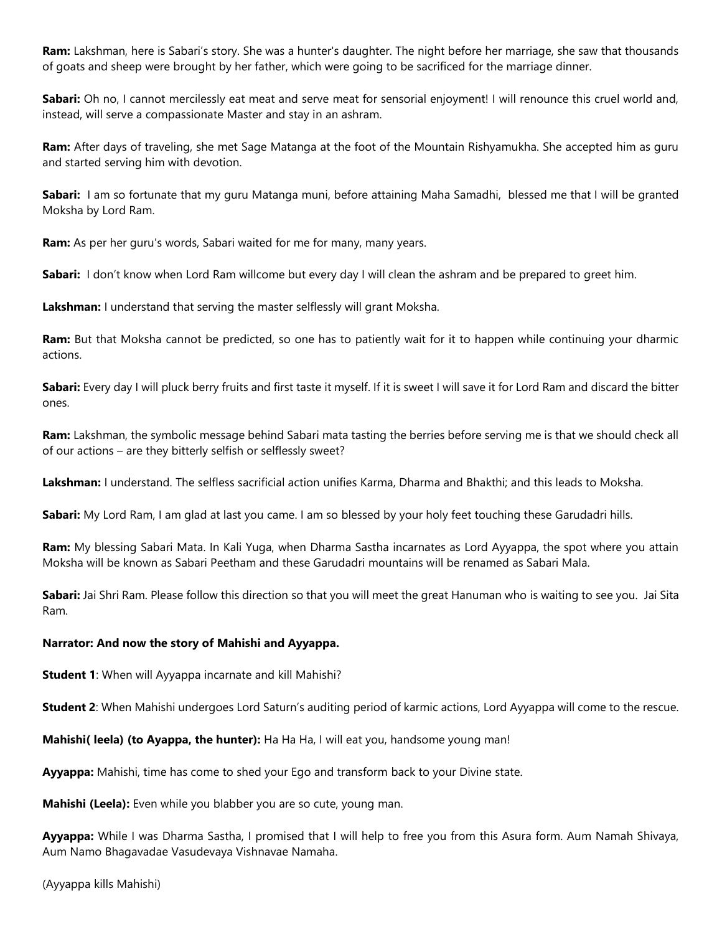**Ram:** Lakshman, here is Sabari's story. She was a hunter's daughter. The night before her marriage, she saw that thousands of goats and sheep were brought by her father, which were going to be sacrificed for the marriage dinner.

**Sabari:** Oh no, I cannot mercilessly eat meat and serve meat for sensorial enjoyment! I will renounce this cruel world and, instead, will serve a compassionate Master and stay in an ashram.

**Ram:** After days of traveling, she met Sage Matanga at the foot of the Mountain Rishyamukha. She accepted him as guru and started serving him with devotion.

**Sabari:** I am so fortunate that my guru Matanga muni, before attaining Maha Samadhi, blessed me that I will be granted Moksha by Lord Ram.

**Ram:** As per her guru's words, Sabari waited for me for many, many years.

**Sabari:** I don't know when Lord Ram willcome but every day I will clean the ashram and be prepared to greet him.

**Lakshman:** I understand that serving the master selflessly will grant Moksha.

**Ram:** But that Moksha cannot be predicted, so one has to patiently wait for it to happen while continuing your dharmic actions.

**Sabari:** Every day I will pluck berry fruits and first taste it myself. If it is sweet I will save it for Lord Ram and discard the bitter ones.

**Ram:** Lakshman, the symbolic message behind Sabari mata tasting the berries before serving me is that we should check all of our actions – are they bitterly selfish or selflessly sweet?

**Lakshman:** I understand. The selfless sacrificial action unifies Karma, Dharma and Bhakthi; and this leads to Moksha.

**Sabari:** My Lord Ram, I am glad at last you came. I am so blessed by your holy feet touching these Garudadri hills.

**Ram:** My blessing Sabari Mata. In Kali Yuga, when Dharma Sastha incarnates as Lord Ayyappa, the spot where you attain Moksha will be known as Sabari Peetham and these Garudadri mountains will be renamed as Sabari Mala.

**Sabari:** Jai Shri Ram. Please follow this direction so that you will meet the great Hanuman who is waiting to see you. Jai Sita Ram.

## **Narrator: And now the story of Mahishi and Ayyappa.**

**Student 1**: When will Ayyappa incarnate and kill Mahishi?

**Student 2**: When Mahishi undergoes Lord Saturn's auditing period of karmic actions, Lord Ayyappa will come to the rescue.

**Mahishi( leela) (to Ayappa, the hunter):** Ha Ha Ha, I will eat you, handsome young man!

**Ayyappa:** Mahishi, time has come to shed your Ego and transform back to your Divine state.

**Mahishi (Leela):** Even while you blabber you are so cute, young man.

**Ayyappa:** While I was Dharma Sastha, I promised that I will help to free you from this Asura form. Aum Namah Shivaya, Aum Namo Bhagavadae Vasudevaya Vishnavae Namaha.

(Ayyappa kills Mahishi)